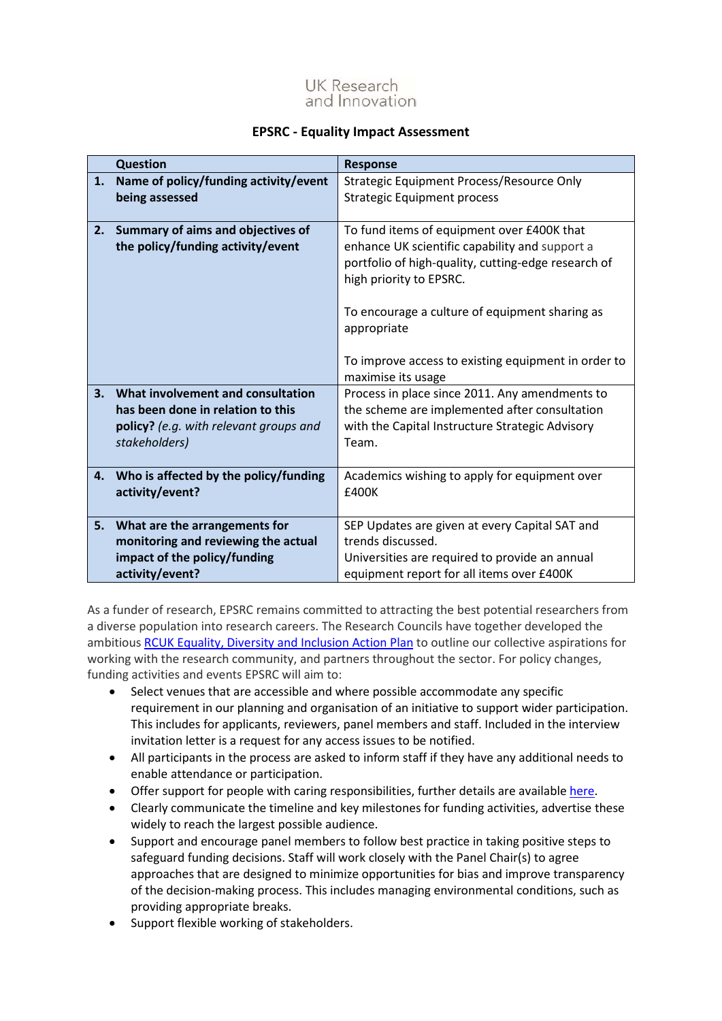

## **EPSRC - Equality Impact Assessment**

| <b>Question</b><br><b>Response</b> |                                                                                                                                   |                                                                                                                                                                                                                                                                                                                              |
|------------------------------------|-----------------------------------------------------------------------------------------------------------------------------------|------------------------------------------------------------------------------------------------------------------------------------------------------------------------------------------------------------------------------------------------------------------------------------------------------------------------------|
| 1.                                 | Name of policy/funding activity/event<br>being assessed                                                                           | Strategic Equipment Process/Resource Only<br><b>Strategic Equipment process</b>                                                                                                                                                                                                                                              |
| 2.                                 | Summary of aims and objectives of<br>the policy/funding activity/event                                                            | To fund items of equipment over £400K that<br>enhance UK scientific capability and support a<br>portfolio of high-quality, cutting-edge research of<br>high priority to EPSRC.<br>To encourage a culture of equipment sharing as<br>appropriate<br>To improve access to existing equipment in order to<br>maximise its usage |
| 3.                                 | What involvement and consultation<br>has been done in relation to this<br>policy? (e.g. with relevant groups and<br>stakeholders) | Process in place since 2011. Any amendments to<br>the scheme are implemented after consultation<br>with the Capital Instructure Strategic Advisory<br>Team.                                                                                                                                                                  |
| 4.                                 | Who is affected by the policy/funding<br>activity/event?                                                                          | Academics wishing to apply for equipment over<br>£400K                                                                                                                                                                                                                                                                       |
| 5.                                 | What are the arrangements for<br>monitoring and reviewing the actual<br>impact of the policy/funding<br>activity/event?           | SEP Updates are given at every Capital SAT and<br>trends discussed.<br>Universities are required to provide an annual<br>equipment report for all items over £400K                                                                                                                                                           |

As a funder of research, EPSRC remains committed to attracting the best potential researchers from a diverse population into research careers. The Research Councils have together developed the ambitious [RCUK Equality, Diversity and Inclusion Action Plan](https://www.ukri.org/files/legacy/documents/actionplan2016-pdf/) to outline our collective aspirations for working with the research community, and partners throughout the sector. For policy changes, funding activities and events EPSRC will aim to:

- Select venues that are accessible and where possible accommodate any specific requirement in our planning and organisation of an initiative to support wider participation. This includes for applicants, reviewers, panel members and staff. Included in the interview invitation letter is a request for any access issues to be notified.
- All participants in the process are asked to inform staff if they have any additional needs to enable attendance or participation.
- Offer support for people with caring responsibilities, further details are available [here.](https://epsrc.ukri.org/funding/applicationprocess/basics/caringresponsibilities/)
- Clearly communicate the timeline and key milestones for funding activities, advertise these widely to reach the largest possible audience.
- Support and encourage panel members to follow best practice in taking positive steps to safeguard funding decisions. Staff will work closely with the Panel Chair(s) to agree approaches that are designed to minimize opportunities for bias and improve transparency of the decision-making process. This includes managing environmental conditions, such as providing appropriate breaks.
- Support flexible working of stakeholders.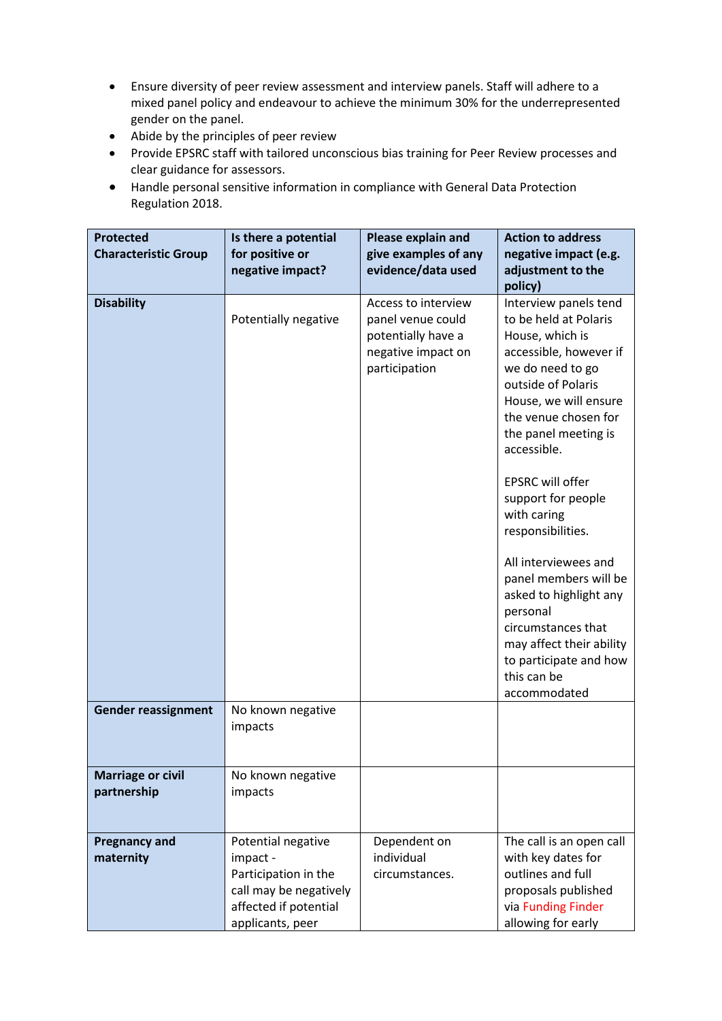- Ensure diversity of peer review assessment and interview panels. Staff will adhere to a mixed panel policy and endeavour to achieve the minimum 30% for the underrepresented gender on the panel.
- Abide by the principles of peer review
- Provide EPSRC staff with tailored unconscious bias training for Peer Review processes and clear guidance for assessors.
- Handle personal sensitive information in compliance with General Data Protection Regulation 2018.

| <b>Protected</b><br><b>Characteristic Group</b> | Is there a potential<br>for positive or<br>negative impact?                                                                   | Please explain and<br>give examples of any<br>evidence/data used                                      | <b>Action to address</b><br>negative impact (e.g.<br>adjustment to the<br>policy)                                                                                                                                                                                                                                                                                                                                                                                                                             |
|-------------------------------------------------|-------------------------------------------------------------------------------------------------------------------------------|-------------------------------------------------------------------------------------------------------|---------------------------------------------------------------------------------------------------------------------------------------------------------------------------------------------------------------------------------------------------------------------------------------------------------------------------------------------------------------------------------------------------------------------------------------------------------------------------------------------------------------|
| <b>Disability</b>                               | Potentially negative                                                                                                          | Access to interview<br>panel venue could<br>potentially have a<br>negative impact on<br>participation | Interview panels tend<br>to be held at Polaris<br>House, which is<br>accessible, however if<br>we do need to go<br>outside of Polaris<br>House, we will ensure<br>the venue chosen for<br>the panel meeting is<br>accessible.<br>EPSRC will offer<br>support for people<br>with caring<br>responsibilities.<br>All interviewees and<br>panel members will be<br>asked to highlight any<br>personal<br>circumstances that<br>may affect their ability<br>to participate and how<br>this can be<br>accommodated |
| <b>Gender reassignment</b>                      | No known negative<br>impacts                                                                                                  |                                                                                                       |                                                                                                                                                                                                                                                                                                                                                                                                                                                                                                               |
| <b>Marriage or civil</b><br>partnership         | No known negative<br>impacts                                                                                                  |                                                                                                       |                                                                                                                                                                                                                                                                                                                                                                                                                                                                                                               |
| <b>Pregnancy and</b><br>maternity               | Potential negative<br>impact -<br>Participation in the<br>call may be negatively<br>affected if potential<br>applicants, peer | Dependent on<br>individual<br>circumstances.                                                          | The call is an open call<br>with key dates for<br>outlines and full<br>proposals published<br>via Funding Finder<br>allowing for early                                                                                                                                                                                                                                                                                                                                                                        |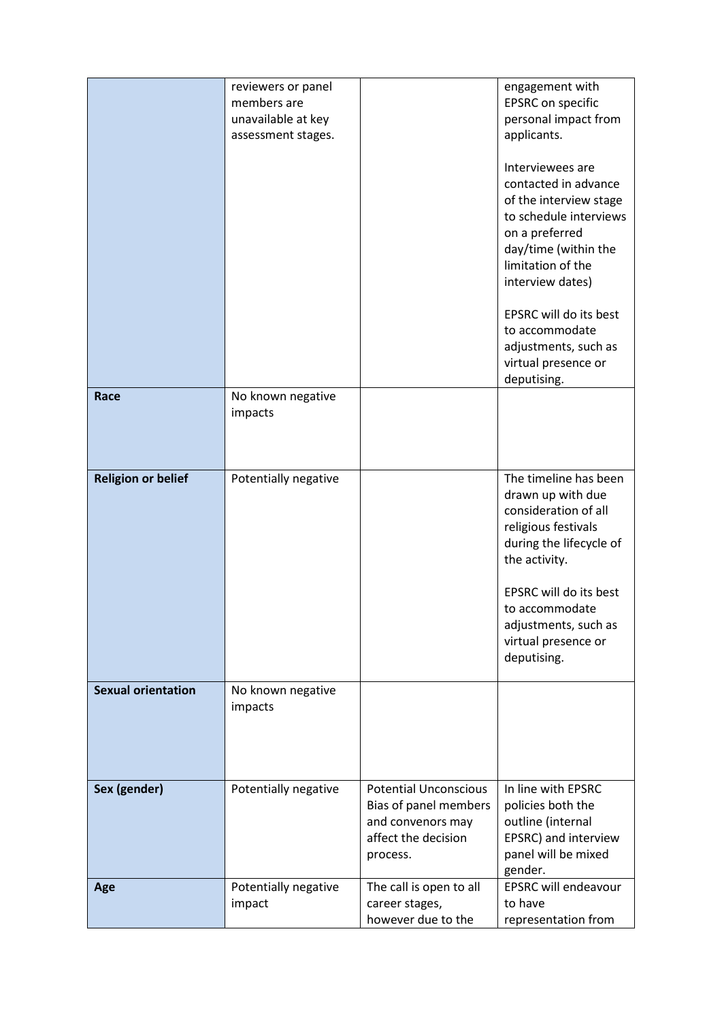|                           | reviewers or panel   |                              | engagement with                          |
|---------------------------|----------------------|------------------------------|------------------------------------------|
|                           | members are          |                              | EPSRC on specific                        |
|                           | unavailable at key   |                              | personal impact from                     |
|                           | assessment stages.   |                              | applicants.                              |
|                           |                      |                              | Interviewees are<br>contacted in advance |
|                           |                      |                              | of the interview stage                   |
|                           |                      |                              | to schedule interviews<br>on a preferred |
|                           |                      |                              | day/time (within the                     |
|                           |                      |                              | limitation of the                        |
|                           |                      |                              | interview dates)                         |
|                           |                      |                              | EPSRC will do its best                   |
|                           |                      |                              | to accommodate                           |
|                           |                      |                              | adjustments, such as                     |
|                           |                      |                              | virtual presence or                      |
|                           |                      |                              | deputising.                              |
| Race                      | No known negative    |                              |                                          |
|                           | impacts              |                              |                                          |
|                           |                      |                              |                                          |
|                           |                      |                              |                                          |
|                           |                      |                              |                                          |
| <b>Religion or belief</b> | Potentially negative |                              | The timeline has been                    |
|                           |                      |                              | drawn up with due                        |
|                           |                      |                              | consideration of all                     |
|                           |                      |                              | religious festivals                      |
|                           |                      |                              | during the lifecycle of                  |
|                           |                      |                              | the activity.                            |
|                           |                      |                              | EPSRC will do its best                   |
|                           |                      |                              | to accommodate                           |
|                           |                      |                              | adjustments, such as                     |
|                           |                      |                              | virtual presence or                      |
|                           |                      |                              | deputising.                              |
| <b>Sexual orientation</b> | No known negative    |                              |                                          |
|                           | impacts              |                              |                                          |
|                           |                      |                              |                                          |
|                           |                      |                              |                                          |
|                           |                      |                              |                                          |
| Sex (gender)              | Potentially negative | <b>Potential Unconscious</b> | In line with EPSRC                       |
|                           |                      | Bias of panel members        | policies both the                        |
|                           |                      | and convenors may            | outline (internal                        |
|                           |                      | affect the decision          | EPSRC) and interview                     |
|                           |                      | process.                     | panel will be mixed                      |
|                           |                      |                              | gender.                                  |
| Age                       | Potentially negative | The call is open to all      | <b>EPSRC will endeavour</b>              |
|                           | impact               | career stages,               | to have                                  |
|                           |                      | however due to the           | representation from                      |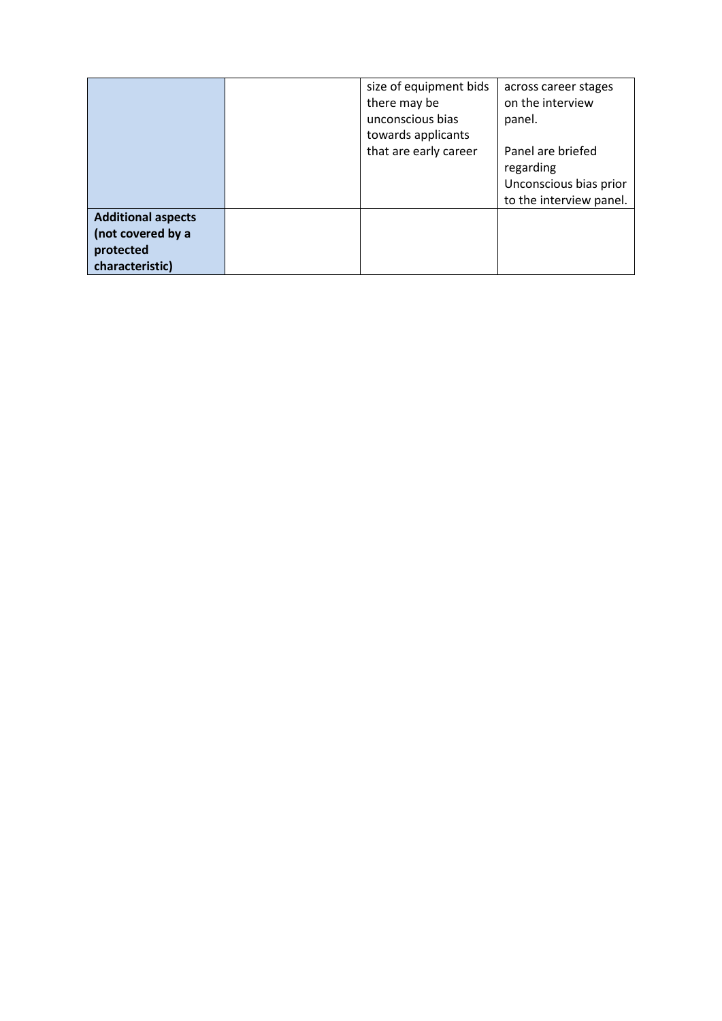|                           |  |                       | across career stages<br>on the interview<br>panel. |
|---------------------------|--|-----------------------|----------------------------------------------------|
|                           |  | towards applicants    |                                                    |
|                           |  | that are early career | Panel are briefed                                  |
|                           |  |                       | regarding                                          |
|                           |  |                       | Unconscious bias prior                             |
|                           |  |                       | to the interview panel.                            |
| <b>Additional aspects</b> |  |                       |                                                    |
| (not covered by a         |  |                       |                                                    |
| protected                 |  |                       |                                                    |
| characteristic)           |  |                       |                                                    |